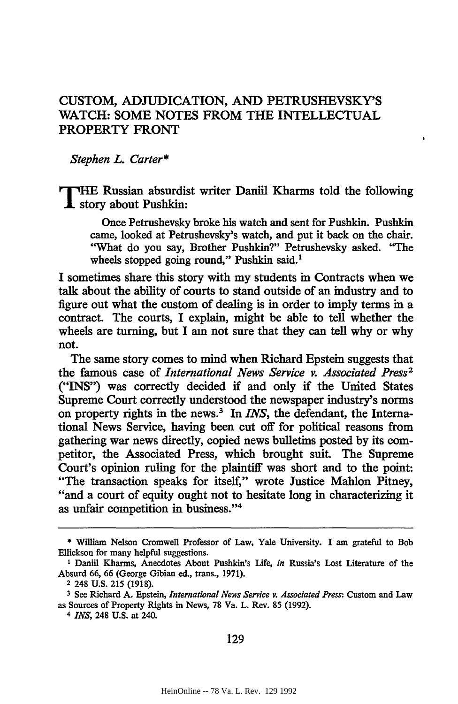## **CUSTOM, ADJUDICATION, AND** PETRUSHEVSKY'S WATCH: **SOME NOTES FROM THE INTELLECTUAL PROPERTY** FRONT

*Stephen L. Carter\**

**T HE Russian absurdist writer Daniil Kharms told the following X story about Pushkin:**

**Once Petrushevsky broke** his watch and sent for Pushkin. Pushkin came, looked at Petrushevsky's watch, and put it back on the chair. "What do you say, Brother Pushkin?" Petrushevsky asked. "The wheels stopped going round," Pushkin said.<sup>1</sup>

**I** sometimes share this story with my students in Contracts when we talk about the ability of courts to stand outside of an industry and to figure out what the custom of dealing is in order to imply terms in a contract. The courts, I explain, might be able to tell whether the wheels are turning, but I am not sure that they can tell why or why not.

The same story comes to mind when Richard Epstein suggests that the famous case of *International News Service v. Associated Press2* ("INS") was correctly decided if and only if the United States Supreme Court correctly understood the newspaper industry's norms on property rights in the news.<sup>3</sup> In *INS*, the defendant, the International News Service, having been cut off for political reasons from gathering war news directly, copied news bulletins posted by its competitor, the Associated Press, which brought suit. The Supreme Court's opinion ruling for the plaintiff was short and to the point: "The transaction speaks for itself," wrote Justice Mahlon Pitney, "and a court of equity ought not to hesitate long in characterizing it as unfair competition in business."<sup>4</sup>

**<sup>\*</sup>** William Nelson Cromwell Professor of Law, Yale University. I am grateful to Bob Ellickson for many helpful suggestions.

**I** Daniil Kharms, Anecdotes About Pushkin's Life, *in* Russia's Lost Literature of the Absurd **66,** 66 (George Gibian ed., trans., 1971).

**<sup>2</sup>** 248 U.S. **215** (1918).

**<sup>3</sup>**See Richard A. Epstein, *International News Service v. Associated Press:* Custom and Law as Sources of Property Rights in News, 78 Va. L. Rev. 85 **(1992).**

*<sup>4</sup> INS,* 248 U.S. at 240.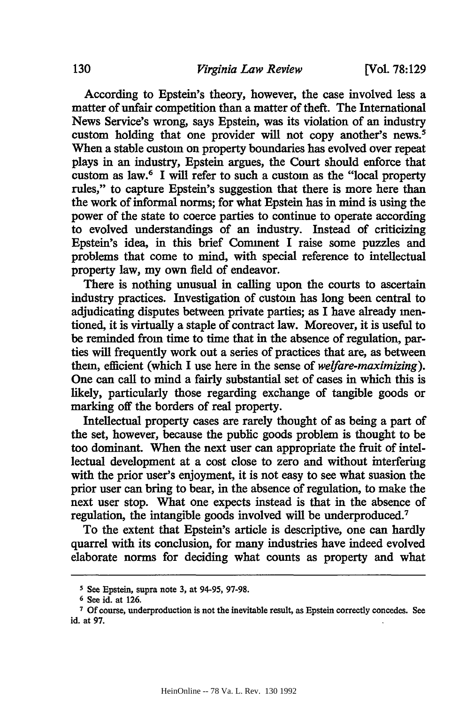**[Vol. 78:129**

According to Epstein's theory, however, the case involved less a matter of unfair competition than a matter of theft. The International News Service's wrong, says Epstein, was its violation of an industry custom holding that one provider will not copy another's news.<sup>5</sup> When a stable custom on property boundaries has evolved over repeat plays in an industry, Epstein argues, the Court should enforce that custom as law.6 I will refer to such a custom as the "local property rules," to capture Epstein's suggestion that there is more here than the work of informal norms; for what Epstein has in mind is using the power of the state to coerce parties to continue to operate according to evolved understandings of an industry. Instead of criticizing Epstein's idea, in this brief Comment I raise some puzzles and problems that come to mind, with special reference to intellectual property law, my own field of endeavor.

There is nothing unusual in calling upon the courts to ascertain industry practices. Investigation of custom has long been central to adjudicating disputes between private parties; as I have already mentioned, it is virtually a staple of contract law. Moreover, it is useful to be reminded from time to time that in the absence of regulation, parties will frequently work out a series of practices that are, as between them, efficient (which I use here in the sense of *welfare-maximizing).* One can call to mind a fairly substantial set of cases in which this is likely, particularly those regarding exchange of tangible goods or marking off the borders of real property.

Intellectual property cases are rarely thought of as being a part of the set, however, because the public goods problem is thought to be too dominant. When the next user can appropriate the fruit of intellectual development at a cost close to zero and without interfering with the prior user's enjoyment, it is not easy to see what suasion the prior user can bring to bear, in the absence of regulation, to make the next user stop. What one expects instead is that in the absence of regulation, the intangible goods involved will be underproduced. <sup>7</sup>

To the extent that Epstein's article is descriptive, one can hardly quarrel with its conclusion, for many industries have indeed evolved elaborate norms for deciding what counts as property and what

**<sup>5</sup>** See Epstein, supra note **3,** at 94-95, **97-98.**

**<sup>6</sup>** See id. at 126.

**<sup>7</sup>** Of course, underproduction is not the inevitable result, as Epstein correctly concedes. See id. at **97.**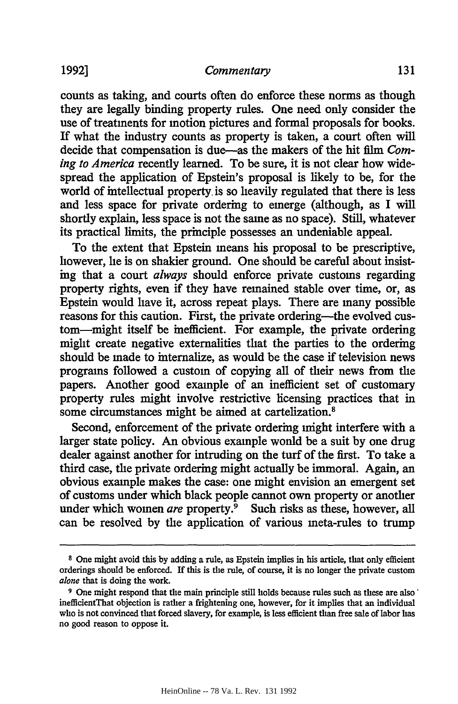counts as taking, and courts often do enforce these norms as though they are legally binding property rules. One need only consider the use of treatments for motion pictures and formal proposals for books. If what the industry counts as property is taken, a court often will decide that compensation is due-as the makers of the hit film *Coming to America* recently learned. To be sure, it is not clear how widespread the application of Epstein's proposal is likely to be, for the world of intellectual property. is so heavily regulated that there is less and less space for private ordering to emerge (although, as I will shortly explain, less space is not the same as no space). Still, whatever its practical limits, the principle possesses an undeniable appeal.

To the extent that Epstein means his proposal to be prescriptive, however, he is on shakier ground. One should be careful about insisting that a court *always* should enforce private customs regarding property rights, even if they have remained stable over time, or, as Epstein would have it, across repeat plays. There are many possible reasons for this caution. First, the private ordering-the evolved custom-might itself be inefficient. For example, the private ordering might create negative externalities that the parties to the ordering should be made to internalize, as would be the case if television news programs followed a custom of copying all of their news from the papers. Another good example of an inefficient set of customary property rules might involve restrictive licensing practices that in some circumstances might be aimed at cartelization.<sup>8</sup>

Second, enforcement of the private ordering might interfere with a larger state policy. An obvious example would be a suit by one drug dealer against another for intruding on the turf of the first. To take a third case, the private ordering might actually be immoral. Again, an obvious example makes the case: one might envision an emergent set of customs under which black people cannot own property or another under which women *are* property.<sup>9</sup> Such risks as these, however, all can be resolved by the application of various meta-rules to trump

**<sup>8</sup>** One might avoid this by adding a rule, as Epstein implies in his article, that only efficient orderings should be enforced. If this is the rule, of course, it is no longer the private custom *alone* that is doing the work.

**<sup>9</sup>** One might respond that the main principle still holds because rules such as these are also' inefficientThat objection is rather a frightening one, however, for it implies that an individual who is not convinced that forced slavery, for example, is less efficient than free sale of labor has no good reason to oppose it.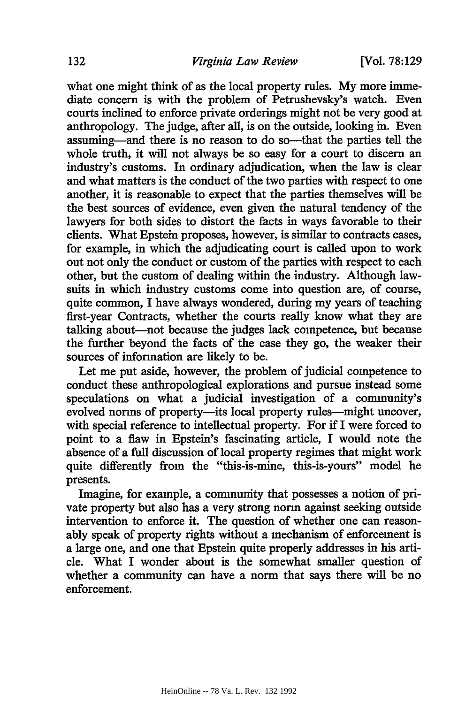[Vol. **78:129**

what one might think of as the local property rules. **My** more immediate concern is with the problem of Petrushevsky's watch. Even courts inclined to enforce private orderings might not be very good at anthropology. The judge, after all, is on the outside, looking in. Even assuming—and there is no reason to do so—that the parties tell the whole truth, it will not always be so easy for a court to discern an industry's customs. In ordinary adjudication, when the law is clear and what matters is the conduct of the two parties with respect to one another, it is reasonable to expect that the parties themselves will be the best sources of evidence, even given the natural tendency of the lawyers for both sides to distort the facts in ways favorable to their clients. What Epstein proposes, however, is similar to contracts cases, for example, in which the adjudicating court is called upon to work out not only the conduct or custom of the parties with respect to each other, but the custom of dealing within the industry. Although lawsuits in which industry customs come into question are, of course, quite common, I have always wondered, during my years of teaching first-year Contracts, whether the courts really know what they are talking about-not because the judges lack competence, but because the further beyond the facts of the case they go, the weaker their sources of information are likely to be.

Let me put aside, however, the problem of judicial competence to conduct these anthropological explorations and pursue instead some speculations on what a judicial investigation of a community's evolved norms of property-its local property rules-might uncover, with special reference to intellectual property. For if I were forced to point to a flaw in Epstein's fascinating article, I would note the absence of a full discussion of local property regimes that might work quite differently from the "this-is-mine, this-is-yours" model he presents.

Imagine, for example, a community that possesses a notion of private property but also has a very strong norm against seeking outside intervention to enforce it. The question of whether one can reasonably speak of property rights without a mechanism of enforcement is a large one, and one that Epstein quite properly addresses in his article. What I wonder about is the somewhat smaller question of whether a community can have a norm that says there will be no enforcement.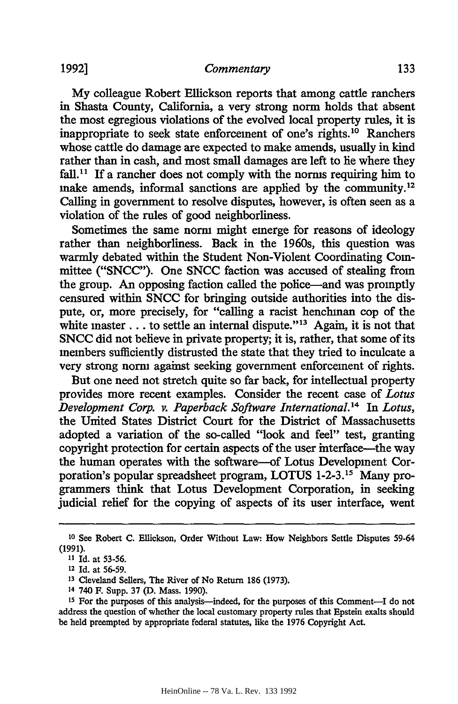**My** colleague Robert Ellickson reports that among cattle ranchers in Shasta County, California, a very strong norm holds that absent the most egregious violations of the evolved local property rules, it is inappropriate to seek state enforcement of one's rights.10 Ranchers whose cattle do damage are expected to make amends, usually in kind rather than in cash, and most small damages are left to lie where they fall.<sup>11</sup> If a rancher does not comply with the norms requiring him to make amends, informal sanctions are applied by the community.<sup>12</sup> Calling in government to resolve disputes, however, is often seen as a violation of the rules of good neighborliness.

Sometimes the same norm might emerge for reasons of ideology rather than neighborliness. Back in the 1960s, this question was warmly debated within the Student Non-Violent Coordinating Committee ("SNCC"). One SNCC faction was accused of stealing from the group. An opposing faction called the police-and was promptly censured within SNCC for bringing outside authorities into the dispute, or, more precisely, for "calling a racist henchman cop of the white master  $\dots$  to settle an internal dispute."<sup>13</sup> Again, it is not that SNCC did not believe in private property; it is, rather, that some of its members sufficiently distrusted the state that they tried to inculcate a very strong norm against seeking government enforcement of rights.

But one need not stretch quite so far back, for intellectual property provides more recent examples. Consider the recent case of *Lotus Development Corp. v. Paperback Software International.14* In *Lotus,* the United States District Court for the District of Massachusetts adopted a variation of the so-called "look and feel" test, granting copyright protection for certain aspects of the user interface-the way the human operates with the software--of Lotus Development Corporation's popular spreadsheet program, LOTUS 1-2-3.<sup>15</sup> Many programmers think that Lotus Development Corporation, in seeking judicial relief for the copying of aspects of its user interface, went

**<sup>10</sup>** See Robert **C.** Ellickson, Order Without Law: How Neighbors Settle Disputes 59-64 (1991).

**<sup>11</sup>** Id. at 53-56.

<sup>12</sup> Id. at 56-59.

**<sup>13</sup>** Cleveland Sellers, The River of No Return 186 (1973).

<sup>14</sup> 740 F. Supp. 37 **(D.** Mass. 1990).

<sup>&</sup>lt;sup>15</sup> For the purposes of this analysis-indeed, for the purposes of this Comment-I do not address the question of whether the local customary property rules that Epstein exalts should be held preempted by appropriate federal statutes, like the 1976 Copyright Act.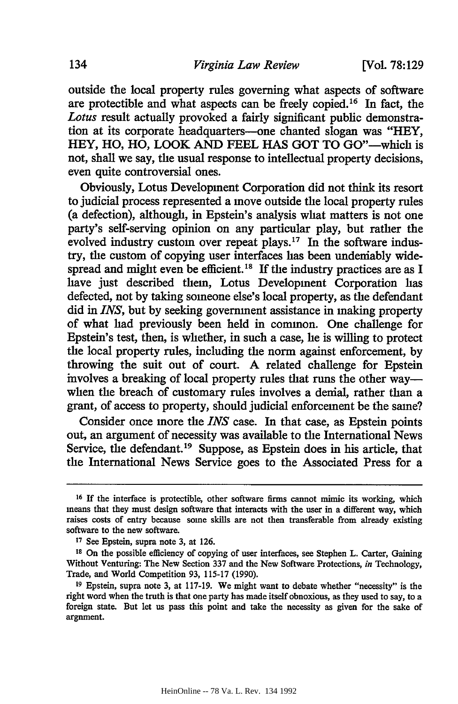outside the local property rules governing what aspects of software are protectible and what aspects can be freely copied. 16 In fact, the *Lotus* result actually provoked a fairly significant public demonstration at its corporate headquarters-one chanted slogan was "HEY, HEY, HO, HO, LOOK AND FEEL HAS GOT TO GO"-which is not, shall we say, the usual response to intellectual property decisions, even quite controversial ones.

Obviously, Lotus Development Corporation did not think its resort to judicial process represented a move outside the local property rules (a defection), although, in Epstein's analysis what matters is not one party's self-serving opinion on any particular play, but rather the evolved industry custom over repeat plays.<sup>17</sup> In the software industry, the custom of copying user interfaces has been undeniably widespread and might even be efficient.<sup>18</sup> If the industry practices are as I have just described them, Lotus Development Corporation has defected, not by taking someone else's local property, as the defendant did in *INS,* but by seeking government assistance in making property of what had previously been held in common. One challenge for Epstein's test, then, is whether, in such a case, he is willing to protect the local property rules, including the norm against enforcement, by throwing the suit out of court. A related challenge for Epstein involves a breaking of local property rules that runs the other way when the breach of customary rules involves a denial, rather than a grant, of access to property, should judicial enforcement be the same?

Consider once more the *INS* case. In that case, as Epstein points out, an argument of necessity was available to the International News Service, the defendant.<sup>19</sup> Suppose, as Epstein does in his article, that the International News Service goes to the Associated Press for a

**<sup>16</sup>**If the interface is protectible, other software firms cannot mimic its working, which means that they must design software that interacts with the user in a different way, which raises costs of entry because some skills are not then transferable from already existing software to the new software.

**<sup>17</sup>**See Epstein, supra note 3, at 126.

<sup>&</sup>lt;sup>18</sup> On the possible efficiency of copying of user interfaces, see Stephen L. Carter, Gaining Without Venturing: The New Section 337 and the New Software Protections, *in* Technology, Trade, and World Competition 93, 115-17 (1990).

**<sup>19</sup>**Epstein, supra note 3, at 117-19. We might want to debate whether "necessity" is the right word when the truth is that one party has made itself obnoxious, as they used to say, to a foreign state. But let us pass this point and take the necessity as given for the sake of argnment.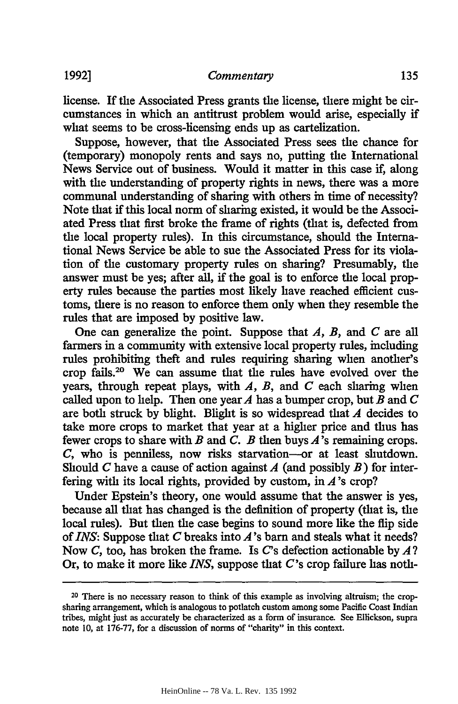license. If the Associated Press grants the license, there might be circumstances in which an antitrust problem would arise, especially if what seems to be cross-licensing ends up as cartelization.

Suppose, however, that the Associated Press sees the chance for (temporary) monopoly rents and says no, putting the International News Service out of business. Would it matter in this case if, along with the understanding of property rights in news, there was a more communal understanding of sharing with others in time of necessity? Note that if this local norm of sharing existed, it would be the Associated Press that first broke the frame of rights (that is, defected from the local property rules). In this circumstance, should the International News Service be able to sue the Associated Press for its violation of the customary property rules on sharing? Presumably, the answer must be yes; after all, if the goal is to enforce the local property rules because the parties most likely have reached efficient customs, there is no reason to enforce them only when they resemble the rules that are imposed by positive law.

One can generalize the point. Suppose that *A, B,* and *C* are all farmers in a community with extensive local property rules, including rules prohibiting theft and rules requiring sharing when another's crop fails.20 We can assume that the rules have evolved over the years, through repeat plays, with *A, B,* and *C* each sharing when called upon to help. Then one year *A* has a bumper crop, but *B* and *C* are both struck by blight. Blight is so widespread that *A* decides to take more crops to market that year at a higher price and thus has fewer crops to share with *B* and *C. B* then buys *A's* remaining crops. *C,* who is penniless, now risks starvation--or at least shutdown. Should *C* have a cause of action against *A* (and possibly *B)* for interfering with its local rights, provided by custom, in *A's* crop?

Under Epstein's theory, one would assume that the answer is yes, because all that has changed is the definition of property (that is, the local rules). But then the case begins to sound more like the **flip** side *of INS:* Suppose that *C* breaks into A's barn and steals what it needs? Now *C,* too, has broken the frame. Is C's defection actionable by *A?* Or, to make it more like *INS,* suppose that C's crop failure has noth-

<sup>20</sup> There is no necessary reason to think of this example as involving altruism; the cropsharing arrangement, which is analogous to potlatch custom among some Pacific Coast Indian tribes, might just as accurately be characterized as a form of insurance. See Ellickson, supra note 10, at 176-77, for a discussion of norms of "charity" in this context.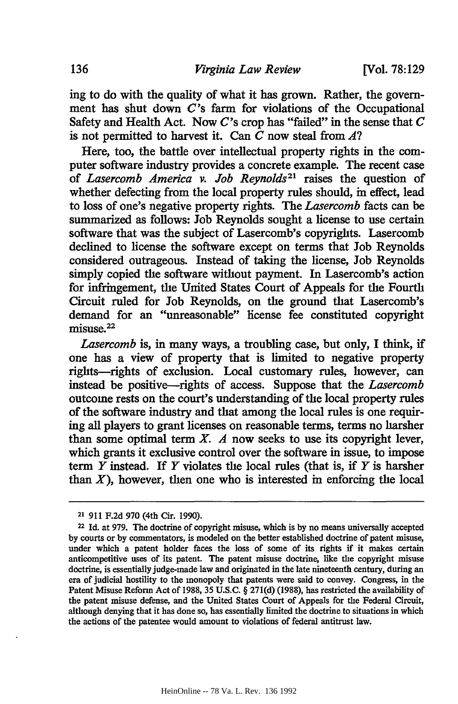ing to do with the quality of what it has grown. Rather, the government has shut down *C's* farm for violations of the Occupational Safety and Health Act. Now *C's* crop has "failed" in the sense that *C* is not permitted to harvest it. Can *C* now steal from *A?*

Here, too, the battle over intellectual property rights in the computer software industry provides a concrete example. The recent case of *Lasercomb America v. Job Reynolds21* raises the question of whether defecting from the local property rules should, in effect, lead to loss of one's negative property rights. The *Lasercomb* facts can be summarized as follows: Job Reynolds sought a license to use certain software that was the subject of Lasercomb's copyrights. Lasercomb declined to license the software except on terms that Job Reynolds considered outrageous. Instead of taking the license, Job Reynolds simply copied the software without payment. In Lasercomb's action for infringement, the United States Court of Appeals for the Fourth Circuit ruled for Job Reynolds, on the ground that Lasercomb's demand for an "unreasonable" license fee constituted copyright misuse.<sup>22</sup>

*Lasercomb* is, in many ways, a troubling case, but only, I think, if one has a view of property that is limited to negative property rights-rights of exclusion. Local customary rules, however, can instead be positive-rights of access. Suppose that the *Lasercomb* outcome rests on the court's understanding of the local property rules of the software industry and that among the local rules is one requiring all players to grant licenses on reasonable terms, terms no harsher than some optimal term  $X$ .  $A$  now seeks to use its copyright lever, which grants it exclusive control over the software in issue, to impose term *Y* instead. If Y violates the local rules (that is, if *Y* is harsher than  $X$ ), however, then one who is interested in enforcing the local

**<sup>21</sup> 911 F.2d 970** (4th Cir. **1990).**

**<sup>22</sup>Id.** at **979.** The doctrine of copyright misuse, which is **by** no means universally accepted **by** courts or **by** commentators, is modeled on the better established doctrine of patent misuse, under which a patent holder faces the loss of some of its rights if it makes certain anticompetitive uses of its patent. The patent misuse doctrine, like the copyright misuse doctrine, is essentially judge-made law and originated in the late nineteenth century, during an **era** of judicial hostility to the monopoly that patents were said to convey. Congress, in the Patent Misuse Reform Act of **1988,** 35 **U.S.C.** § **271(d) (1988),** has restricted the availability of the patent misuse defense, and the United States Court of Appeals for the Federal Circuit, although denying that it has done so, has essentially limited the doctrine to situations in which the actions of the patentee would amount to violations of federal antitrust law.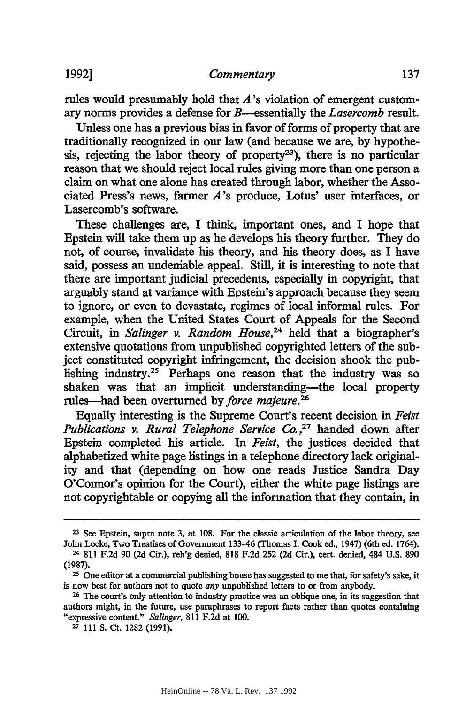rules would presumably hold that *A's* violation of emergent customary norms provides a defense for B--essentially the *Lasercomb* result.

Unless one has a previous bias in favor of forms of property that are traditionally recognized in our law (and because we are, by hypothesis, rejecting the labor theory of property<sup>23</sup>), there is no particular reason that we should reject local rules giving more than one person a claim on what one alone has created through labor, whether the Associated Press's news, farmer *A's* produce, Lotus' user interfaces, or Lasercomb's software.

These challenges are, I think, important ones, and I hope that Epstein will take them up as he develops his theory further. They do not, of course, invalidate his theory, and his theory does, as I have said, possess an undeniable appeal. Still, it is interesting to note that there are important judicial precedents, especially in copyright, that arguably stand at variance with Epstein's approach because they seem to ignore, or even to devastate, regimes of local informal rules. For example, when the United States Court of Appeals for the Second Circuit, in *Salinger v. Random House,24* held that a biographer's extensive quotations from unpublished copyrighted letters of the subject constituted copyright infringement, the decision shook the publishing industry.25 Perhaps one reason that the industry was so shaken was that an implicit understanding-the local property rules-had been overturned by *force majeure.26*

Equally interesting is the Supreme Court's recent decision in *Feist Publications v. Rural Telephone Service Co.,27* handed down after Epstein completed his article. In *Feist,* the justices decided that alphabetized white page listings in a telephone directory lack originality and that (depending on how one reads Justice Sandra Day O'Connor's opinion for the Court), either the white page listings are not copyrightable or copying all the information that they contain, in

137

**<sup>23</sup>**See Epstein, supra note **3,** at **108.** For the classic articulation of the labor theory, see John Locke, Two Treatises of Government 133-46 (Thomas I. Cook ed., 1947) (6th ed. 1764).

<sup>24 811</sup> F.2d 90 **(2d** Cir.), reh'g denied, 818 **F.2d 252 (2d** Cir.), cert. denied, 484 U.S. **890** (1987).

**<sup>25</sup>**One editor at a commercial publishing house has suggested to me that, for safety's sake, it is now best for authors not to quote *any* unpublished letters to or from anybody.

**<sup>26</sup>**The court's only attention to industry practice was an oblique one, in its suggestion that authors might, in the future, use paraphrases to report facts rather than quotes containing "expressive content." *Salinger,* **811** F.2d at 100.

**<sup>27 111</sup> S.** Ct. 1282 (1991).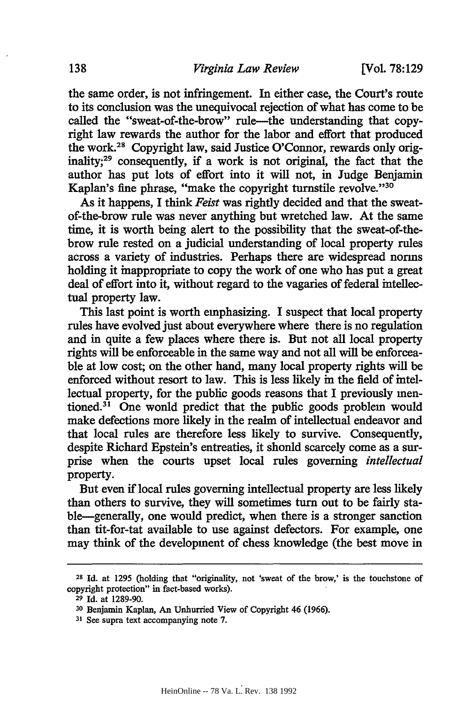the same order, is not infringement. In either case, the Court's route to its conclusion was the unequivocal rejection of what has come to be called the "sweat-of-the-brow" rule---the understanding that copyright law rewards the author for the labor and effort that produced the work.28 Copyright law, said Justice O'Connor, rewards only originality;<sup>29</sup> consequently, if a work is not original, the fact that the author has put lots of effort into it will not, in Judge Benjamin Kaplan's fine phrase, "make the copyright turnstile revolve."30

As it happens, I think *Feist* was rightly decided and that the sweatof-the-brow rule was never anything but wretched law. At the same time, it is worth being alert to the possibility that the sweat-of-thebrow rule rested on a judicial understanding of local property rules across a variety of industries. Perhaps there are widespread norms holding it inappropriate to copy the work of one who has put a great deal of effort into it, without regard to the vagaries of federal intellectual property law.

This last point is worth emphasizing. I suspect that local property rules have evolved just about everywhere where there is no regulation and in quite a few places where there is. But not all local property rights will be enforceable in the same way and not all will be enforceable at low cost; on the other hand, many local property rights will be enforced without resort to law. This is less likely in the field of intellectual property, for the public goods reasons that I previously mentioned.<sup>31</sup> One would predict that the public goods problem would make defections more likely in the realm of intellectual endeavor and that local rules are therefore less likely to survive. Consequently, despite Richard Epstein's entreaties, it shonld scarcely come as a surprise when the courts upset local rules governing *intellectual* property.

But even if local rules governing intellectual property are less likely than others to survive, they will sometimes turn out to be fairly stable-generally, one would predict, when there is a stronger sanction than tit-for-tat available to use against defectors. For example, one may think of the development of chess knowledge (the best move in

**<sup>28</sup>**Id. at 1295 (holding that "originality, not 'sweat of the brow,' is the touchstone of copyright protection" in fact-based works).

**<sup>29</sup>**Id. at 1289-90.

**<sup>30</sup>**Benjamin Kaplan, An Unhurried View of Copyright 46 (1966).

**<sup>31</sup>**See supra text accompanying note 7.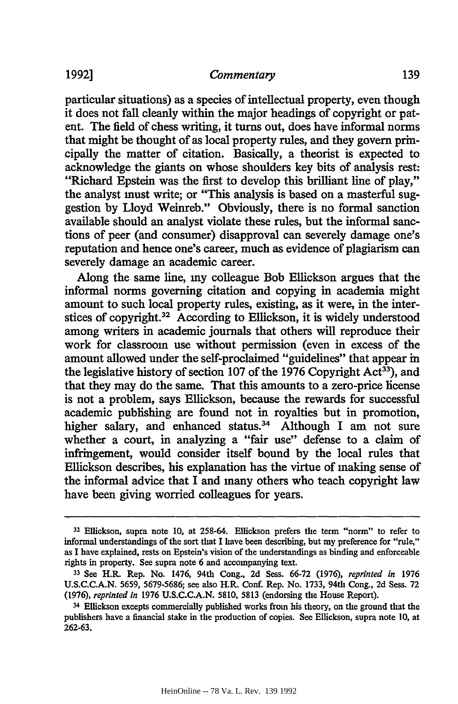particular situations) as a species of intellectual property, even though it does not fall cleanly within the major headings of copyright or patent. The field of chess writing, it turns out, does have informal norms that might be thought of as local property rules, and they govern principally the matter of citation. Basically, a theorist is expected to acknowledge the giants on whose shoulders key bits of analysis rest: "Richard Epstein was the first to develop this brilliant line of play," the analyst must write; or "This analysis is based on a masterful suggestion by Lloyd Weinreb." Obviously, there is no formal sanction available should an analyst violate these rules, but the informal sanctions of peer (and consumer) disapproval can severely damage one's reputation and hence one's career, much as evidence of plagiarism can severely damage an academic career.

Along the same line, my colleague Bob Ellickson argues that the informal norms governing citation and copying in academia might amount to such local property rules, existing, as it were, in the interstices of copyright.<sup>32</sup> According to Ellickson, it is widely understood among writers in academic journals that others will reproduce their work for classroom use without permission (even in excess of the amount allowed under the self-proclaimed "guidelines" that appear in the legislative history of section 107 of the 1976 Copyright  $Act^{33}$ , and that they may do the same. That this amounts to a zero-price license is not a problem, says Ellickson, because the rewards for successful academic publishing are found not in royalties but in promotion, higher salary, and enhanced status.<sup>34</sup> Although I am not sure whether a court, in analyzing a "fair use" defense to a claim of infringement, would consider itself bound by the local rules that Ellickson describes, his explanation has the virtue of making sense of the informal advice that I and many others who teach copyright law have been giving worried colleagues for years.

**<sup>32</sup>**Ellickson, supra note 10, at 258-64. Ellickson prefers the term "norm" to refer to informal understandings of the sort that I have been describing, but my preference for "rule," as I have explained, rests on Epstein's vision of the understandings as binding and enforceable rights in property. See supra note 6 and accompanying text.

**<sup>33</sup>**See H.R. Rep. No. 1476, 94th Cong., 2d Sess. 66-72 (1976), *reprinted in* 1976 U.S.C.C.A.N. 5659, 5679-5686; see also H.R. Conf. Rep. No. 1733, 94th Cong., 2d Sess. 72 (1976), *reprinted in* 1976 U.S.C.C.A.N. 5810, 5813 (endorsing the House Report).

**<sup>34</sup>**Ellickson excepts commercially published works from his theory, on the ground that the publishers have a financial stake in the production of copies. See Ellickson, supra note 10, at 262-63.